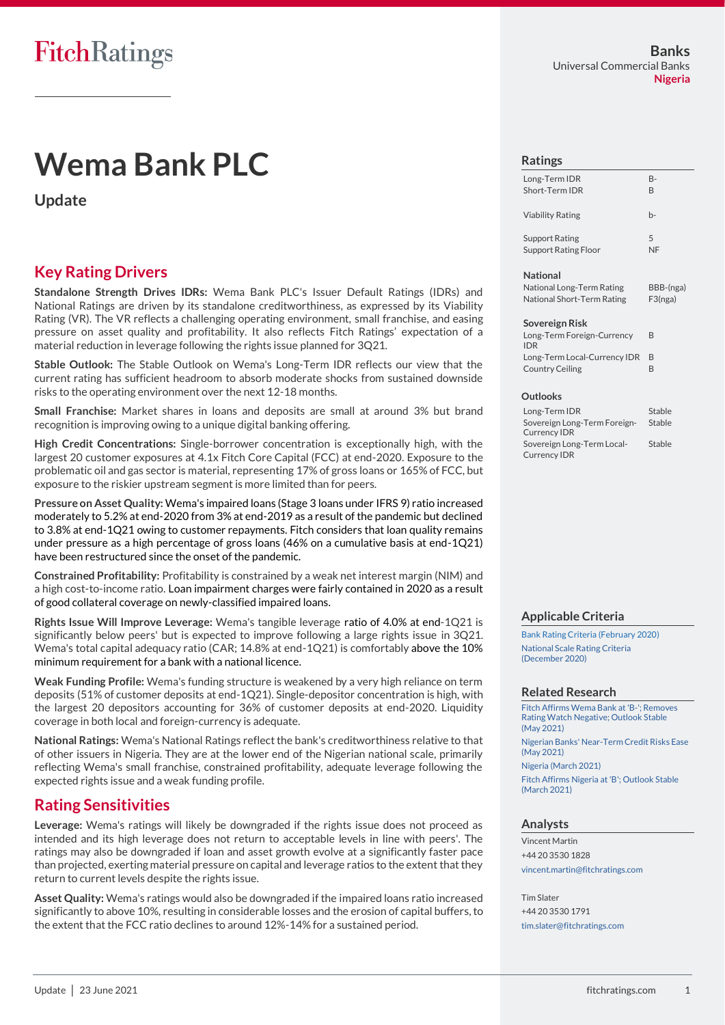# **Wema Bank PLC**

**Update**

### **Key Rating Drivers**

**Standalone Strength Drives IDRs:** Wema Bank PLC's Issuer Default Ratings (IDRs) and National Ratings are driven by its standalone creditworthiness, as expressed by its Viability Rating (VR). The VR reflects a challenging operating environment, small franchise, and easing pressure on asset quality and profitability. It also reflects Fitch Ratings' expectation of a material reduction in leverage following the rights issue planned for 3Q21.

**Stable Outlook:** The Stable Outlook on Wema's Long-Term IDR reflects our view that the current rating has sufficient headroom to absorb moderate shocks from sustained downside risks to the operating environment over the next 12-18 months.

**Small Franchise:** Market shares in loans and deposits are small at around 3% but brand recognition is improving owing to a unique digital banking offering.

**High Credit Concentrations:** Single-borrower concentration is exceptionally high, with the largest 20 customer exposures at 4.1x Fitch Core Capital (FCC) at end-2020. Exposure to the problematic oil and gas sector is material, representing 17% of gross loans or 165% of FCC, but exposure to the riskier upstream segment is more limited than for peers.

**Pressure on Asset Quality:** Wema's impaired loans (Stage 3 loans under IFRS 9) ratio increased moderately to 5.2% at end-2020 from 3% at end-2019 as a result of the pandemic but declined to 3.8% at end-1Q21 owing to customer repayments. Fitch considers that loan quality remains under pressure as a high percentage of gross loans (46% on a cumulative basis at end-1Q21) have been restructured since the onset of the pandemic.

**Constrained Profitability:** Profitability is constrained by a weak net interest margin (NIM) and a high cost-to-income ratio. Loan impairment charges were fairly contained in 2020 as a result of good collateral coverage on newly-classified impaired loans.

**Rights Issue Will Improve Leverage:** Wema's tangible leverage ratio of 4.0% at end-1Q21 is significantly below peers' but is expected to improve following a large rights issue in 3Q21. Wema's total capital adequacy ratio (CAR; 14.8% at end-1Q21) is comfortably above the 10% minimum requirement for a bank with a national licence.

**Weak Funding Profile:** Wema's funding structure is weakened by a very high reliance on term deposits (51% of customer deposits at end-1Q21). Single-depositor concentration is high, with the largest 20 depositors accounting for 36% of customer deposits at end-2020. Liquidity coverage in both local and foreign-currency is adequate.

**National Ratings:** Wema's National Ratings reflect the bank's creditworthiness relative to that of other issuers in Nigeria. They are at the lower end of the Nigerian national scale, primarily reflecting Wema's small franchise, constrained profitability, adequate leverage following the expected rights issue and a weak funding profile.

### **Rating Sensitivities**

**Leverage:** Wema's ratings will likely be downgraded if the rights issue does not proceed as intended and its high leverage does not return to acceptable levels in line with peers'. The ratings may also be downgraded if loan and asset growth evolve at a significantly faster pace than projected, exerting material pressure on capital and leverage ratios to the extent that they return to current levels despite the rights issue.

**Asset Quality:** Wema's ratings would also be downgraded if the impaired loans ratio increased significantly to above 10%, resulting in considerable losses and the erosion of capital buffers, to the extent that the FCC ratio declines to around 12%-14% for a sustained period.

#### **Banks** Universal Commercial Banks **Nigeria**

#### **Ratings**

Long-Term IDR B-Short-Term IDR B Viability Rating b-Support Rating 5 Support Rating Floor NF **National** National Long-Term Rating BBB-(nga)

### National Short-Term Rating F3(nga)

| Sovereign Risk                           |              |
|------------------------------------------|--------------|
| Long-Term Foreign-Currency<br><b>IDR</b> | R            |
| Long-Term Local-Currency IDR             | <sub>R</sub> |
| <b>Country Ceiling</b>                   | н            |

#### **Outlooks**

| Long-Term IDR                | Stable |
|------------------------------|--------|
| Sovereign Long-Term Foreign- | Stable |
| <b>Currency IDR</b>          |        |
| Sovereign Long-Term Local-   | Stable |
| <b>Currency IDR</b>          |        |

#### **Applicable Criteria**

[Bank Rating Criteria \(February 2020\)](https://app.fitchconnect.com/search/research/article/FR_RPT_10110041) [National Scale Rating Criteria](https://app.fitchconnect.com/search/research/article/FR_RPT_10146648)  [\(December](https://app.fitchconnect.com/search/research/article/FR_RPT_10146648) 2020)

#### **Related Research**

[Fitch Affirms Wema Bank at 'B-'; Removes](https://app.fitchconnect.com/search/research/article/FR_PR_10156547)  [Rating Watch Negative; Outlook Stable](https://app.fitchconnect.com/search/research/article/FR_PR_10156547)  (May [2021\)](https://app.fitchconnect.com/search/research/article/FR_PR_10156547) [Nigerian Banks' Near-Term Credit Risks Ease](https://app.fitchconnect.com/search/research/article/PR_10163027)  [\(May 2021\)](https://app.fitchconnect.com/search/research/article/PR_10163027) [Nigeria \(March 2021\)](https://app.fitchconnect.com/search/research/article/RPT_10156554)

[Fitch Affirms Nigeria at 'B'; Outlook Stable](https://app.fitchconnect.com/search/research/article/PR_10155908)  [\(March 2021\)](https://app.fitchconnect.com/search/research/article/PR_10155908)

#### **Analysts**

Vincent Martin +44 20 3530 1828 [vincent.martin@fitchratings.com](mailto:vincent.martin@fitchratings.com)

Tim Slater +44 20 3530 1791 [tim.slater@fitchratings.com](mailto:tim.slater@fitchratings.com)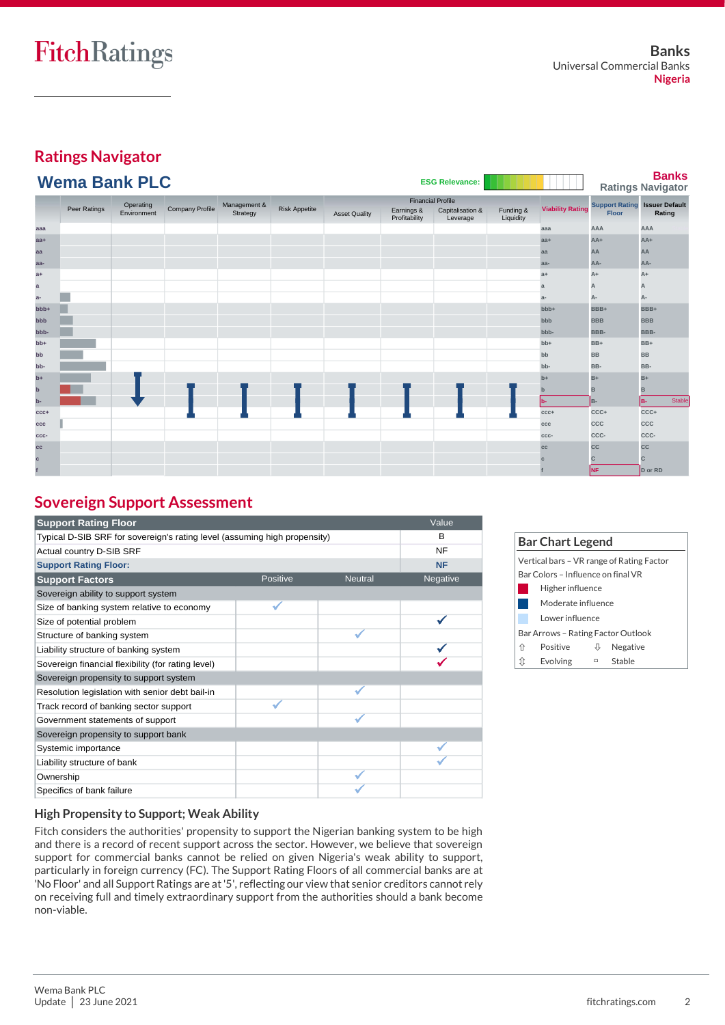### **Ratings Navigator Wema Bank PLC**

| <b>ESG Relevance:</b> |  |  |  |  |  |  |  |  |  |  |
|-----------------------|--|--|--|--|--|--|--|--|--|--|
|-----------------------|--|--|--|--|--|--|--|--|--|--|

**Banks**

| <b><i>INGING DAIR LU</i></b><br>$-00$ were range. |                           |             |                        |          |                          |                      |                             | <b>The Common</b>            |                        | <b>Ratings Navigator</b>             |              |              |
|---------------------------------------------------|---------------------------|-------------|------------------------|----------|--------------------------|----------------------|-----------------------------|------------------------------|------------------------|--------------------------------------|--------------|--------------|
|                                                   | Operating<br>Management & |             |                        |          | <b>Financial Profile</b> |                      |                             |                              |                        | <b>Support Rating Issuer Default</b> |              |              |
|                                                   | Peer Ratings              | Environment | <b>Company Profile</b> | Strategy | <b>Risk Appetite</b>     | <b>Asset Quality</b> | Earnings &<br>Profitability | Capitalisation &<br>Leverage | Funding &<br>Liquidity | <b>Viability Rating</b>              | <b>Floor</b> | Rating       |
| aaa                                               |                           |             |                        |          |                          |                      |                             |                              |                        | aaa                                  | AAA          | AAA          |
| $aa+$                                             |                           |             |                        |          |                          |                      |                             |                              |                        | $aa+$                                | $AA+$        | $AA+$        |
| aa                                                |                           |             |                        |          |                          |                      |                             |                              |                        | aa                                   | AA           | AA           |
| aa-                                               |                           |             |                        |          |                          |                      |                             |                              |                        | aa-                                  | AA-          | AA-          |
| $a+$                                              |                           |             |                        |          |                          |                      |                             |                              |                        | $a+$                                 | $A+$         | A+           |
| $\mathbf{a}$                                      |                           |             |                        |          |                          |                      |                             |                              |                        | $\mathbf{a}$                         | А            | А            |
| $a-$                                              |                           |             |                        |          |                          |                      |                             |                              |                        | $a-$                                 | А-           | А-           |
| bbb+                                              |                           |             |                        |          |                          |                      |                             |                              |                        | bbb+                                 | BBB+         | BBB+         |
| bbb                                               |                           |             |                        |          |                          |                      |                             |                              |                        | bbb                                  | <b>BBB</b>   | <b>BBB</b>   |
| bbb-                                              |                           |             |                        |          |                          |                      |                             |                              |                        | bbb-                                 | BBB-         | BBB-         |
| $bb+$                                             |                           |             |                        |          |                          |                      |                             |                              |                        | $bb+$                                | BB+          | BB+          |
| bb                                                |                           |             |                        |          |                          |                      |                             |                              |                        | bb                                   | <b>BB</b>    | <b>BB</b>    |
| bb-                                               |                           |             |                        |          |                          |                      |                             |                              |                        | bb-                                  | BB-          | BB-          |
| $b+$                                              |                           |             |                        |          |                          |                      |                             |                              |                        | $b+$                                 | $B+$         | $B+$         |
| $\mathbf b$                                       |                           |             |                        |          |                          |                      |                             |                              |                        | $\mathbf{b}$                         | B            | B            |
| b-                                                |                           |             |                        |          |                          |                      |                             |                              |                        | b-                                   | B-           | Stable<br>B- |
| $ccc+$                                            |                           |             |                        |          |                          |                      |                             |                              |                        | $ccc+$                               | CCC+         | CCC+         |
| ccc                                               |                           |             |                        |          |                          |                      |                             |                              |                        | ccc                                  | CCC          | ccc          |
| CCC-                                              |                           |             |                        |          |                          |                      |                             |                              |                        | CCC-                                 | CCC-         | CCC-         |
| cc                                                |                           |             |                        |          |                          |                      |                             |                              |                        | cc                                   | <b>CC</b>    | cc           |
| C                                                 |                           |             |                        |          |                          |                      |                             |                              |                        | $\mathbf{C}$                         | C            | C.           |
|                                                   |                           |             |                        |          |                          |                      |                             |                              |                        |                                      | NF.          | D or RD      |

### **Sovereign Support Assessment**

| <b>Support Rating Floor</b>                                               |          |                | Value     |
|---------------------------------------------------------------------------|----------|----------------|-----------|
| Typical D-SIB SRF for sovereign's rating level (assuming high propensity) | B        |                |           |
| Actual country D-SIB SRF                                                  |          |                | <b>NF</b> |
| <b>Support Rating Floor:</b>                                              |          |                | <b>NF</b> |
| <b>Support Factors</b>                                                    | Positive | <b>Neutral</b> | Negative  |
| Sovereign ability to support system                                       |          |                |           |
| Size of banking system relative to economy                                |          |                |           |
| Size of potential problem                                                 |          |                |           |
| Structure of banking system                                               |          |                |           |
| Liability structure of banking system                                     |          |                |           |
| Sovereign financial flexibility (for rating level)                        |          |                |           |
| Sovereign propensity to support system                                    |          |                |           |
| Resolution legislation with senior debt bail-in                           |          |                |           |
| Track record of banking sector support                                    |          |                |           |
| Government statements of support                                          |          |                |           |
| Sovereign propensity to support bank                                      |          |                |           |
| Systemic importance                                                       |          |                |           |
| Liability structure of bank                                               |          |                |           |
| Ownership                                                                 |          |                |           |
| Specifics of bank failure                                                 |          |                |           |

|                                    | <b>Bar Chart Legend</b> |                 |                                           |  |  |  |  |  |
|------------------------------------|-------------------------|-----------------|-------------------------------------------|--|--|--|--|--|
|                                    |                         |                 | Vertical bars - VR range of Rating Factor |  |  |  |  |  |
| Bar Colors – Influence on final VR |                         |                 |                                           |  |  |  |  |  |
| Higher influence                   |                         |                 |                                           |  |  |  |  |  |
|                                    | Moderate influence      |                 |                                           |  |  |  |  |  |
|                                    |                         | Lower influence |                                           |  |  |  |  |  |
| Bar Arrows – Rating Factor Outlook |                         |                 |                                           |  |  |  |  |  |
| ⇑                                  | Positive                |                 | Negative                                  |  |  |  |  |  |
| ſt                                 | Evolving                | $\Box$          | Stable                                    |  |  |  |  |  |

#### **High Propensity to Support; Weak Ability**

Fitch considers the authorities' propensity to support the Nigerian banking system to be high and there is a record of recent support across the sector. However, we believe that sovereign support for commercial banks cannot be relied on given Nigeria's weak ability to support, particularly in foreign currency (FC). The Support Rating Floors of all commercial banks are at 'No Floor' and all Support Ratings are at '5', reflecting our view that senior creditors cannot rely on receiving full and timely extraordinary support from the authorities should a bank become non-viable.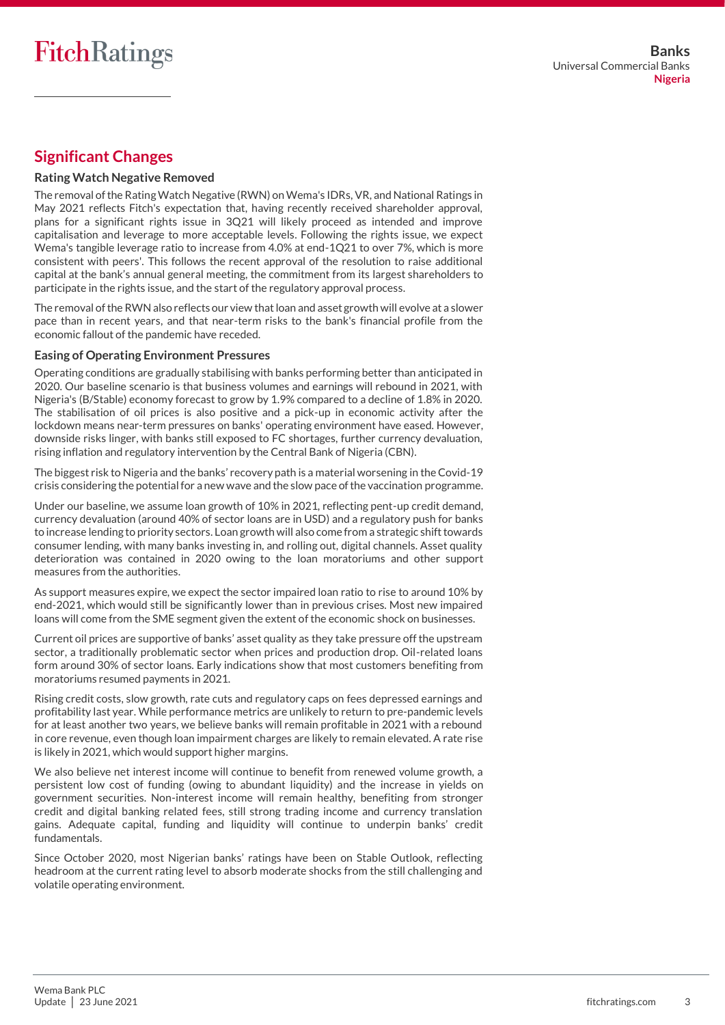### **Significant Changes**

#### **Rating Watch Negative Removed**

The removal of the Rating Watch Negative (RWN) on Wema's IDRs, VR, and National Ratings in May 2021 reflects Fitch's expectation that, having recently received shareholder approval, plans for a significant rights issue in 3Q21 will likely proceed as intended and improve capitalisation and leverage to more acceptable levels. Following the rights issue, we expect Wema's tangible leverage ratio to increase from 4.0% at end-1Q21 to over 7%, which is more consistent with peers'. This follows the recent approval of the resolution to raise additional capital at the bank's annual general meeting, the commitment from its largest shareholders to participate in the rights issue, and the start of the regulatory approval process.

The removal of the RWN also reflects our view that loan and asset growth will evolve at a slower pace than in recent years, and that near-term risks to the bank's financial profile from the economic fallout of the pandemic have receded.

#### **Easing of Operating Environment Pressures**

Operating conditions are gradually stabilising with banks performing better than anticipated in 2020. Our baseline scenario is that business volumes and earnings will rebound in 2021, with Nigeria's (B/Stable) economy forecast to grow by 1.9% compared to a decline of 1.8% in 2020. The stabilisation of oil prices is also positive and a pick-up in economic activity after the lockdown means near-term pressures on banks' operating environment have eased. However, downside risks linger, with banks still exposed to FC shortages, further currency devaluation, rising inflation and regulatory intervention by the Central Bank of Nigeria (CBN).

The biggest risk to Nigeria and the banks' recovery path is a material worsening in the Covid-19 crisis considering the potential for a new wave and the slow pace of the vaccination programme.

Under our baseline, we assume loan growth of 10% in 2021, reflecting pent-up credit demand, currency devaluation (around 40% of sector loans are in USD) and a regulatory push for banks to increase lending to priority sectors. Loan growth will also come from a strategic shift towards consumer lending, with many banks investing in, and rolling out, digital channels. Asset quality deterioration was contained in 2020 owing to the loan moratoriums and other support measures from the authorities.

As support measures expire, we expect the sector impaired loan ratio to rise to around 10% by end-2021, which would still be significantly lower than in previous crises. Most new impaired loans will come from the SME segment given the extent of the economic shock on businesses.

Current oil prices are supportive of banks' asset quality as they take pressure off the upstream sector, a traditionally problematic sector when prices and production drop. Oil-related loans form around 30% of sector loans. Early indications show that most customers benefiting from moratoriums resumed payments in 2021.

Rising credit costs, slow growth, rate cuts and regulatory caps on fees depressed earnings and profitability last year. While performance metrics are unlikely to return to pre-pandemic levels for at least another two years, we believe banks will remain profitable in 2021 with a rebound in core revenue, even though loan impairment charges are likely to remain elevated. A rate rise is likely in 2021, which would support higher margins.

We also believe net interest income will continue to benefit from renewed volume growth, a persistent low cost of funding (owing to abundant liquidity) and the increase in yields on government securities. Non-interest income will remain healthy, benefiting from stronger credit and digital banking related fees, still strong trading income and currency translation gains. Adequate capital, funding and liquidity will continue to underpin banks' credit fundamentals.

Since October 2020, most Nigerian banks' ratings have been on Stable Outlook, reflecting headroom at the current rating level to absorb moderate shocks from the still challenging and volatile operating environment.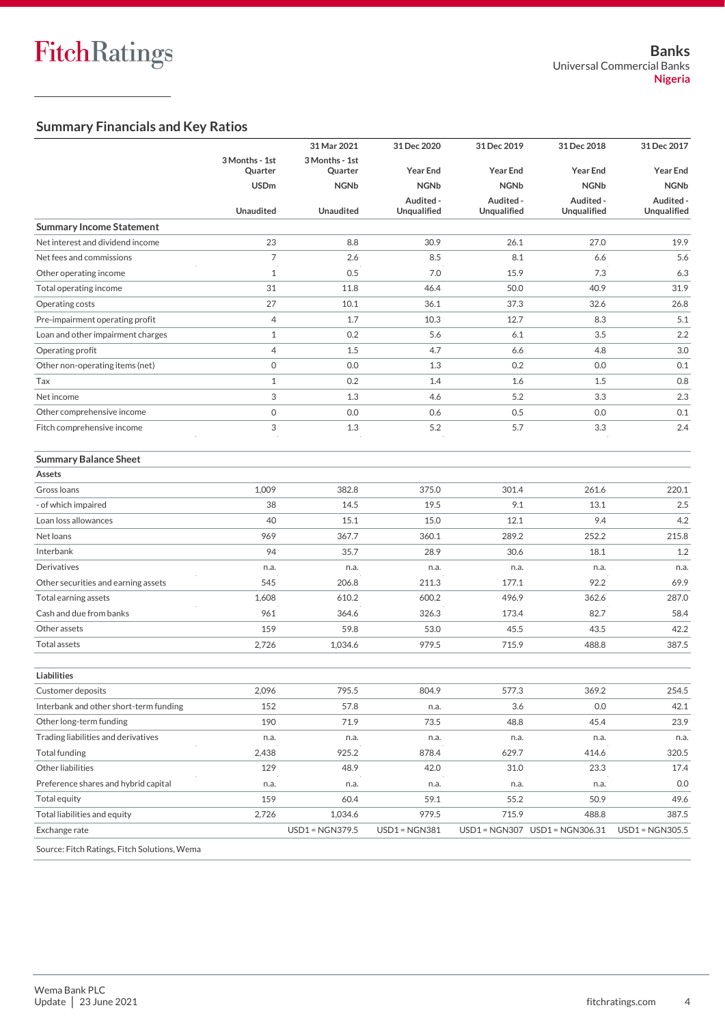### **Summary Financials and Key Ratios**

|                                              |                  | 31 Mar 2021            | 31 Dec 2020             | 31 Dec 2019             | 31 Dec 2018                     | 31 Dec 2017              |
|----------------------------------------------|------------------|------------------------|-------------------------|-------------------------|---------------------------------|--------------------------|
|                                              | 3 Months - 1st   | 3 Months - 1st         |                         |                         |                                 |                          |
|                                              | Quarter          | Quarter                | <b>Year End</b>         | <b>Year End</b>         | <b>Year End</b>                 | <b>Year End</b>          |
|                                              | <b>USDm</b>      | <b>NGNb</b>            | <b>NGNb</b>             | <b>NGNb</b>             | <b>NGNb</b>                     | <b>NGNb</b>              |
|                                              | <b>Unaudited</b> | <b>Unaudited</b>       | Audited-<br>Unqualified | Audited-<br>Unqualified | Audited -<br><b>Unqualified</b> | Audited -<br>Unqualified |
| <b>Summary Income Statement</b>              |                  |                        |                         |                         |                                 |                          |
| Net interest and dividend income             | 23               | 8.8                    | 30.9                    | 26.1                    | 27.0                            | 19.9                     |
| Net fees and commissions                     | 7                | 2.6                    | 8.5                     | 8.1                     | 6.6                             | 5.6                      |
| Other operating income                       | $\mathbf{1}$     | 0.5                    | 7.0                     | 15.9                    | 7.3                             | 6.3                      |
| Total operating income                       | 31               | 11.8                   | 46.4                    | 50.0                    | 40.9                            | 31.9                     |
| Operating costs                              | 27               | 10.1                   | 36.1                    | 37.3                    | 32.6                            | 26.8                     |
| Pre-impairment operating profit              | 4                | 1.7                    | 10.3                    | 12.7                    | 8.3                             | 5.1                      |
| Loan and other impairment charges            | $\mathbf{1}$     | 0.2                    | 5.6                     | 6.1                     | 3.5                             | 2.2                      |
| Operating profit                             | $\overline{4}$   | 1.5                    | 4.7                     | 6.6                     | 4.8                             | 3.0                      |
| Other non-operating items (net)              | 0                | 0.0                    | 1.3                     | 0.2                     | 0.0                             | 0.1                      |
| Tax                                          | $\mathbf{1}$     | 0.2                    | 1.4                     | 1.6                     | 1.5                             | 0.8                      |
| Net income                                   | 3                | 1.3                    | 4.6                     | 5.2                     | 3.3                             | 2.3                      |
| Other comprehensive income                   | 0                | 0.0                    | 0.6                     | 0.5                     | 0.0                             | 0.1                      |
| Fitch comprehensive income                   | 3                | 1.3                    | 5.2                     | 5.7                     | 3.3                             | 2.4                      |
|                                              |                  |                        |                         |                         |                                 |                          |
| <b>Summary Balance Sheet</b>                 |                  |                        |                         |                         |                                 |                          |
| Assets                                       |                  |                        |                         |                         |                                 |                          |
| Gross Ioans                                  | 1,009            | 382.8                  | 375.0                   | 301.4                   | 261.6                           | 220.1                    |
| - of which impaired                          | 38               | 14.5                   | 19.5                    | 9.1                     | 13.1                            | 2.5                      |
| Loan loss allowances                         | 40               | 15.1                   | 15.0                    | 12.1                    | 9.4                             | 4.2                      |
| Net loans                                    | 969              | 367.7                  | 360.1                   | 289.2                   | 252.2                           | 215.8                    |
| Interbank                                    | 94               | 35.7                   | 28.9                    | 30.6                    | 18.1                            | 1.2                      |
| Derivatives                                  | n.a.             | n.a.                   | n.a.                    | n.a.                    | n.a.                            | n.a.                     |
| Other securities and earning assets          | 545              | 206.8                  | 211.3                   | 177.1                   | 92.2                            | 69.9                     |
| Total earning assets                         | 1,608            | 610.2                  | 600.2                   | 496.9                   | 362.6                           | 287.0                    |
| Cash and due from banks                      | 961              | 364.6                  | 326.3                   | 173.4                   | 82.7                            | 58.4                     |
| Other assets                                 | 159              | 59.8                   | 53.0                    | 45.5                    | 43.5                            | 42.2                     |
| Total assets                                 | 2,726            | 1,034.6                | 979.5                   | 715.9                   | 488.8                           | 387.5                    |
|                                              |                  |                        |                         |                         |                                 |                          |
| <b>Liabilities</b>                           |                  |                        |                         |                         |                                 |                          |
| Customer deposits                            | 2,096            | 795.5                  | 804.9                   | 577.3                   | 369.2                           | 254.5                    |
| Interbank and other short-term funding       | 152              | 57.8                   | n.a.                    | 3.6                     | 0.0                             | 42.1                     |
| Other long-term funding                      | 190              | 71.9                   | 73.5                    | 48.8                    | 45.4                            | 23.9                     |
| Trading liabilities and derivatives          | n.a.             | n.a.                   | n.a.                    | n.a.                    | n.a.                            | n.a.                     |
| <b>Total funding</b>                         | 2,438            | 925.2                  | 878.4                   | 629.7                   | 414.6                           | 320.5                    |
| Other liabilities                            | 129              | 48.9                   | 42.0                    | 31.0                    | 23.3                            | 17.4                     |
| Preference shares and hybrid capital         | n.a.             | n.a.                   | n.a.                    | n.a.                    | n.a.                            | 0.0                      |
| Total equity                                 | 159              | 60.4                   | 59.1                    | 55.2                    | 50.9                            | 49.6                     |
| Total liabilities and equity                 | 2,726            | 1,034.6                | 979.5                   | 715.9                   | 488.8                           | 387.5                    |
| Exchange rate                                |                  | <b>USD1 = NGN379.5</b> | $USD1 = NGN381$         |                         | USD1 = NGN307 USD1 = NGN306.31  | $USD1 = NGN305.5$        |
| Source: Fitch Ratings, Fitch Solutions, Wema |                  |                        |                         |                         |                                 |                          |
|                                              |                  |                        |                         |                         |                                 |                          |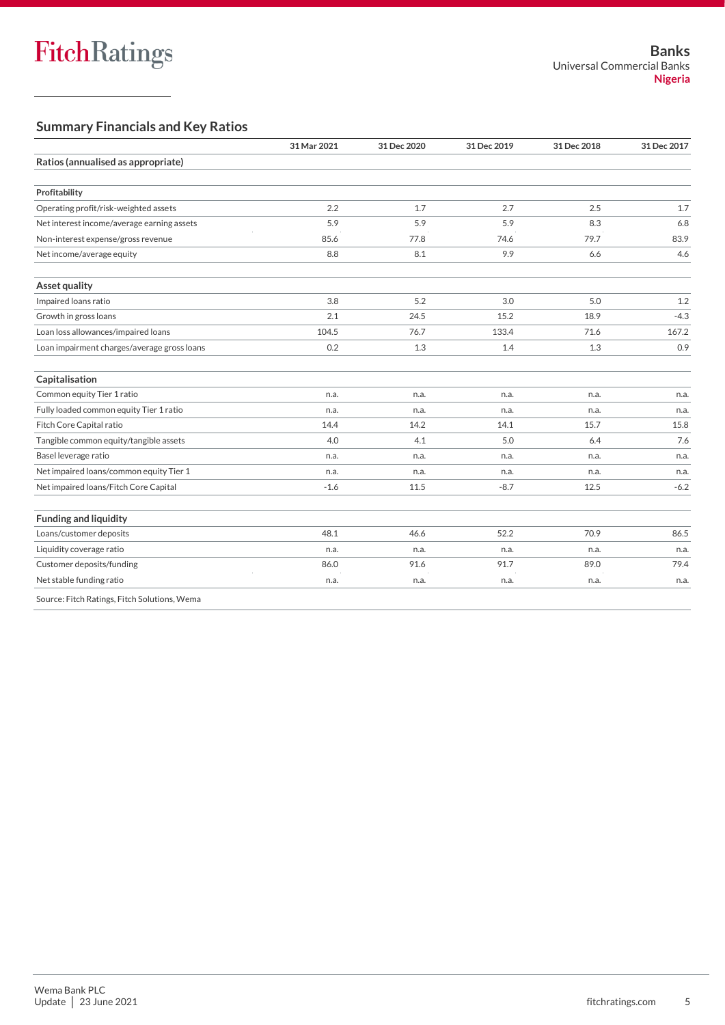### **Summary Financials and Key Ratios**

|                                              | 31 Mar 2021 | 31 Dec 2020 | 31 Dec 2019 | 31 Dec 2018 | 31 Dec 2017 |
|----------------------------------------------|-------------|-------------|-------------|-------------|-------------|
| Ratios (annualised as appropriate)           |             |             |             |             |             |
| Profitability                                |             |             |             |             |             |
| Operating profit/risk-weighted assets        | 2.2         | 1.7         | 2.7         | 2.5         | 1.7         |
| Net interest income/average earning assets   | 5.9         | 5.9         | 5.9         | 8.3         | 6.8         |
| Non-interest expense/gross revenue           | 85.6        | 77.8        | 74.6        | 79.7        | 83.9        |
| Net income/average equity                    | 8.8         | 8.1         | 9.9         | 6.6         | 4.6         |
| Asset quality                                |             |             |             |             |             |
| Impaired loans ratio                         | 3.8         | 5.2         | 3.0         | 5.0         | 1.2         |
| Growth in gross loans                        | 2.1         | 24.5        | 15.2        | 18.9        | $-4.3$      |
| Loan loss allowances/impaired loans          | 104.5       | 76.7        | 133.4       | 71.6        | 167.2       |
| Loan impairment charges/average gross loans  | 0.2         | 1.3         | 1.4         | 1.3         | 0.9         |
| Capitalisation                               |             |             |             |             |             |
| Common equity Tier 1 ratio                   | n.a.        | n.a.        | n.a.        | n.a.        | n.a.        |
| Fully loaded common equity Tier 1 ratio      | n.a.        | n.a.        | n.a.        | n.a.        | n.a.        |
| Fitch Core Capital ratio                     | 14.4        | 14.2        | 14.1        | 15.7        | 15.8        |
| Tangible common equity/tangible assets       | 4.0         | 4.1         | 5.0         | 6.4         | 7.6         |
| Basel leverage ratio                         | n.a.        | n.a.        | n.a.        | n.a.        | n.a.        |
| Net impaired loans/common equity Tier 1      | n.a.        | n.a.        | n.a.        | n.a.        | n.a.        |
| Net impaired loans/Fitch Core Capital        | $-1.6$      | 11.5        | $-8.7$      | 12.5        | $-6.2$      |
| <b>Funding and liquidity</b>                 |             |             |             |             |             |
| Loans/customer deposits                      | 48.1        | 46.6        | 52.2        | 70.9        | 86.5        |
| Liquidity coverage ratio                     | n.a.        | n.a.        | n.a.        | n.a.        | n.a.        |
| Customer deposits/funding                    | 86.0        | 91.6        | 91.7        | 89.0        | 79.4        |
| Net stable funding ratio                     | n.a.        | n.a.        | n.a.        | n.a.        | n.a.        |
| Source: Fitch Ratings, Fitch Solutions, Wema |             |             |             |             |             |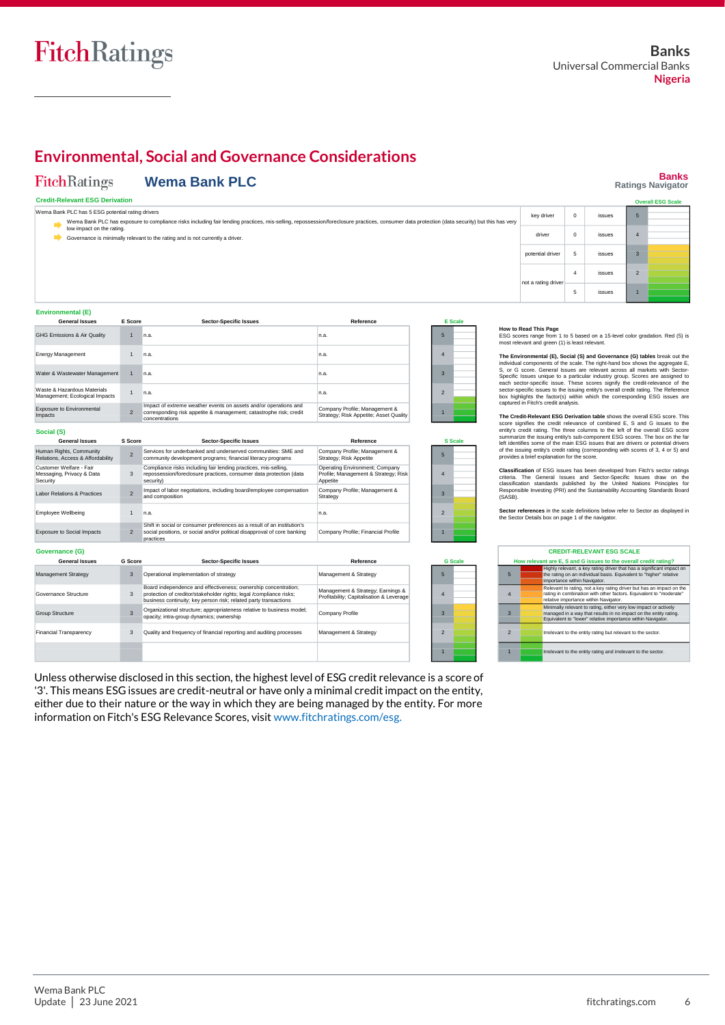### **Environmental, Social and Governance Considerations**

#### **Wema Bank PLC** FitchRatings

 $\overline{2}$ 

1

2

**S Score**

2

sucial pus<br>**practices** 

Operational implementation of strategy

3

3

**G Score**

3

#### **Banks Ratings Navigator Overall ESG Scale**

2 1

#### **Credit-Relevant ESG Derivation**

Wema Bank PLC has 5 ESG potential rating drivers Wema Bank PLC has exposure to compliance risks including fair lending practices, mis-selling, repossession/foreclosure practices, consumer data protection (data security) but this has very low impact on the rating. key driver  $\begin{array}{|c|c|}$  0 driver 0 issues potential driver 5 issues Governance is minimally relevant to the rating and is not currently a driver. 5 4 3

| Environmental (E) |  |
|-------------------|--|
| ______            |  |

**Social (S)**

Human Rights, Community Relations, Access & Affordability Customer Welfare - Fair<br>Messaging, Privacy & Data<br>Security Labor Relations & Practices Employee Wellbeing Exposure to Social Impacts

**General Issues**

**Governance (G)**

Management Strategy Governance Structure Group Structure

**General Issues**

| <b>General Issues</b>                                         | E Score       | <b>Sector-Specific Issues</b>                                                                                                                            | Reference                                                               | E <sub>Sc</sub> |  |
|---------------------------------------------------------------|---------------|----------------------------------------------------------------------------------------------------------------------------------------------------------|-------------------------------------------------------------------------|-----------------|--|
| <b>GHG Emissions &amp; Air Quality</b>                        |               | n.a.                                                                                                                                                     | n.a.                                                                    | 5               |  |
| Energy Management                                             |               | n.a.                                                                                                                                                     | n.a.                                                                    | 4               |  |
| Water & Wastewater Management                                 |               | n.a.                                                                                                                                                     | In.a.                                                                   | 3               |  |
| Waste & Hazardous Materials<br>Management; Ecological Impacts |               | n.a.                                                                                                                                                     | n.a.                                                                    | $\mathfrak{p}$  |  |
| <b>Exposure to Environmental</b><br><b>Impacts</b>            | $\mathcal{P}$ | Impact of extreme weather events on assets and/or operations and<br>corresponding risk appetite & management; catastrophe risk; credit<br>concentrations | Company Profile; Management &<br>Strategy; Risk Appetite; Asset Quality |                 |  |
|                                                               |               |                                                                                                                                                          |                                                                         |                 |  |

Board independence and effectiveness; ownership concentration; protection of creditor/stakeholder rights; legal /compliance risks; business continuity; key person risk; related party transactions Organizational structure; appropriateness relative to business model;

**Sector-Specific Issues**

| core                     | <b>Sector-Specific Issues</b>                                                                                                                       | Reference                                                                          |                | <b>S</b> Scale |
|--------------------------|-----------------------------------------------------------------------------------------------------------------------------------------------------|------------------------------------------------------------------------------------|----------------|----------------|
| $\overline{\mathcal{L}}$ | Services for underbanked and underserved communities: SME and<br>community development programs: financial literacy programs                        | Company Profile; Management &<br>Strategy: Risk Appetite                           | 5              |                |
| 3                        | Compliance risks including fair lending practices, mis-selling,<br>repossession/foreclosure practices, consumer data protection (data<br>security)  | Operating Environment: Company<br>Profile: Management & Strategy: Risk<br>Appetite | $\overline{4}$ |                |
|                          | Impact of labor negotiations, including board/employee compensation<br>and composition                                                              | Company Profile; Management &<br>Strategy                                          | 3              |                |
| 1                        | n.a.                                                                                                                                                | n.a.                                                                               | $\overline{2}$ |                |
| $\overline{\mathcal{L}}$ | Shift in social or consumer preferences as a result of an institution's<br>social positions, or social and/or political disapproval of core banking | Company Profile: Financial Profile                                                 |                |                |

Management & Strategy

Company Profile

Management & Strategy; Earnings & Profitability; Capitalisation & Leverage

**Reference**

| <b>E</b> Scale |  |  |  |  |  |  |
|----------------|--|--|--|--|--|--|
| 5              |  |  |  |  |  |  |
| 4              |  |  |  |  |  |  |
| 3              |  |  |  |  |  |  |
| $\overline{2}$ |  |  |  |  |  |  |
| ٠              |  |  |  |  |  |  |



5 4 3

**G Scale**

| How to Read This Page |  |                                                             |  |
|-----------------------|--|-------------------------------------------------------------|--|
|                       |  | $F \wedge \wedge \cdots \wedge \cdots \wedge \cdots \wedge$ |  |

nt a rating

es<br>n 1 to 5 based on a 15-level color gradation. Red (5) is most relevant and green (1) is least relevant.

5 issues

 $\overline{4}$ 

**The Environmental (E), Social (S) and Governance (G) tables** break out the individual components of the scale. The right-hand box shows the aggregate E,<br>S, or G score. General Issues are relevant across all markets with Sector-<br>Specific Issues unique to a particular industry group. Scores are ass

The Credit-Relevant ESG Derivation table shows the overall ESG score. This credit-Relevance of combined E, S and G issues to the entity's credit relevance of combined E, S and G issues to the entity's credit rating. The t

**Classification** of ESG issues has been developed from Fitch's sector ratings criteria. The General Issues and Sector-Specific Issues draw on the classification standards published by the United Nations Principles for Responsible Investing (PRI) and the Sustainability Accounting Standards Board (SASB).

**Sector references** in the scale definitions below refer to Sector as displayed in the Sector Details box on page 1 of the navigator.

| <b>CREDIT-RELEVANT ESG SCALE</b>                                 |                                                                                                                                                                                                     |  |  |  |
|------------------------------------------------------------------|-----------------------------------------------------------------------------------------------------------------------------------------------------------------------------------------------------|--|--|--|
| How relevant are E. S and G issues to the overall credit rating? |                                                                                                                                                                                                     |  |  |  |
| 5                                                                | Highly relevant, a key rating driver that has a significant impact on<br>the rating on an individual basis. Equivalent to "higher" relative<br>importance within Navigator.                         |  |  |  |
| $\overline{4}$                                                   | Relevant to rating, not a key rating driver but has an impact on the<br>rating in combination with other factors. Equivalent to "moderate"<br>relative importance within Navigator.                 |  |  |  |
| 3                                                                | Minimally relevant to rating, either very low impact or actively<br>managed in a way that results in no impact on the entity rating.<br>Equivalent to "lower" relative importance within Navigator. |  |  |  |
| $\overline{2}$                                                   | Irrelevant to the entity rating but relevant to the sector.                                                                                                                                         |  |  |  |
|                                                                  | Irrelevant to the entity rating and irrelevant to the sector.                                                                                                                                       |  |  |  |

Unless otherwise disclosed in this section, the highest level of ESG credit relevance is a score of 3 Management & Strategy 2 1 **Financial Transparency** opacity; intra-group dynamics; ownership Quality and frequency of financial reporting and auditing processes

'3'. This means ESG issues are credit-neutral or have only a minimal credit impact on the entity, either due to their nature or the way in which they are being managed by the entity. For more information on Fitch's ESG Relevance Scores, visit [www.fitchratings.com/esg.](http://www.fitchratings.com/esg)